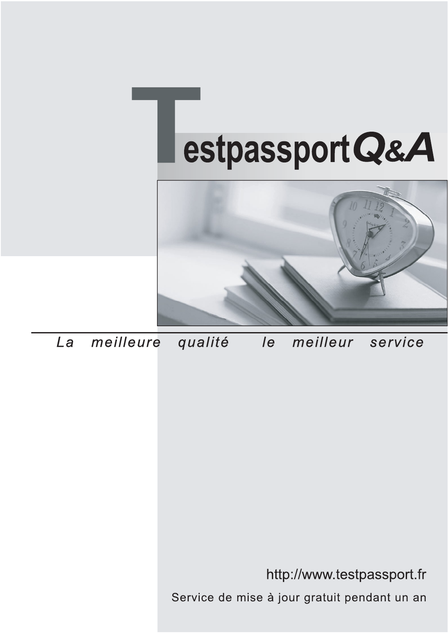



meilleure La qualité  $\overline{e}$ meilleur service

http://www.testpassport.fr

Service de mise à jour gratuit pendant un an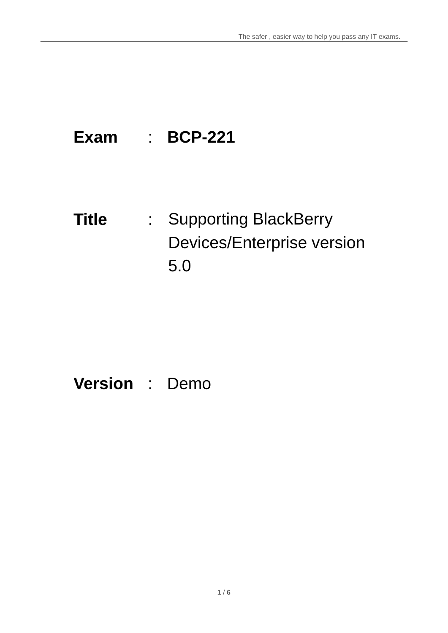## **Exam** : **BCP-221**

**Title** : Supporting BlackBerry Devices/Enterprise version 5.0

## **Version** : Demo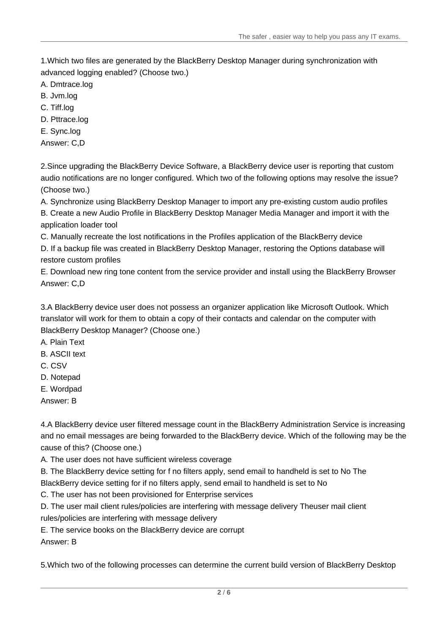1.Which two files are generated by the BlackBerry Desktop Manager during synchronization with advanced logging enabled? (Choose two.)

A. Dmtrace.log

- B. Jvm.log
- C. Tiff.log

D. Pttrace.log

E. Sync.log

Answer: C,D

2.Since upgrading the BlackBerry Device Software, a BlackBerry device user is reporting that custom audio notifications are no longer configured. Which two of the following options may resolve the issue? (Choose two.)

A. Synchronize using BlackBerry Desktop Manager to import any pre-existing custom audio profiles B. Create a new Audio Profile in BlackBerry Desktop Manager Media Manager and import it with the

application loader tool

C. Manually recreate the lost notifications in the Profiles application of the BlackBerry device

D. If a backup file was created in BlackBerry Desktop Manager, restoring the Options database will restore custom profiles

E. Download new ring tone content from the service provider and install using the BlackBerry Browser Answer: C,D

3.A BlackBerry device user does not possess an organizer application like Microsoft Outlook. Which translator will work for them to obtain a copy of their contacts and calendar on the computer with BlackBerry Desktop Manager? (Choose one.)

A. Plain Text

- B. ASCII text
- C. CSV
- D. Notepad
- E. Wordpad

Answer: B

4.A BlackBerry device user filtered message count in the BlackBerry Administration Service is increasing and no email messages are being forwarded to the BlackBerry device. Which of the following may be the cause of this? (Choose one.)

A. The user does not have sufficient wireless coverage

B. The BlackBerry device setting for f no filters apply, send email to handheld is set to No The BlackBerry device setting for if no filters apply, send email to handheld is set to No

C. The user has not been provisioned for Enterprise services

D. The user mail client rules/policies are interfering with message delivery Theuser mail client rules/policies are interfering with message delivery

E. The service books on the BlackBerry device are corrupt

Answer: B

5.Which two of the following processes can determine the current build version of BlackBerry Desktop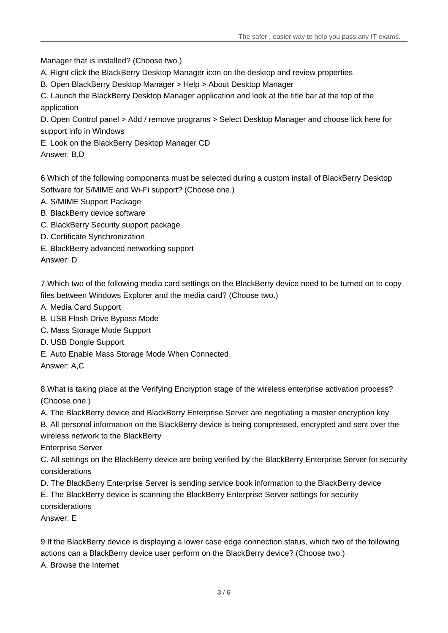Manager that is installed? (Choose two.)

A. Right click the BlackBerry Desktop Manager icon on the desktop and review properties

B. Open BlackBerry Desktop Manager > Help > About Desktop Manager

C. Launch the BlackBerry Desktop Manager application and look at the title bar at the top of the application and the control of the control of the control of the control of the control of the control of the control of the control of the control of the control of the control of the control of the control of the control

D. Open Control panel > Add / remove programs > Select Desktop Manager and choose lick here for support info in Windows

E. Look on the BlackBerry Desktop Manager CD

Answer: B,D

6.Which of the following components must be selected during a custom install of BlackBerry Desktop Software for S/MIME and Wi-Fi support? (Choose one.)

- A. S/MIME Support Package
- B. BlackBerry device software
- C. BlackBerry Security support package
- D. Certificate Synchronization
- E. BlackBerry advanced networking support

Answer: D

7.Which two of the following media card settings on the BlackBerry device need to be turned on to copy files between Windows Explorer and the media card? (Choose two.)

- A. Media Card Support
- B. USB Flash Drive Bypass Mode
- C. Mass Storage Mode Support
- D. USB Dongle Support
- E. Auto Enable Mass Storage Mode When Connected

Answer: A,C

8.What is taking place at the Verifying Encryption stage of the wireless enterprise activation process? (Choose one.)

A. The BlackBerry device and BlackBerry Enterprise Server are negotiating a master encryption key

B. All personal information on the BlackBerry device is being compressed, encrypted and sent over the wireless network to the BlackBerry

Enterprise Server

C. All settings on the BlackBerry device are being verified by the BlackBerry Enterprise Server for security considerations

D. The BlackBerry Enterprise Server is sending service book information to the BlackBerry device

E. The BlackBerry device is scanning the BlackBerry Enterprise Server settings for security considerations

Answer: E

9.If the BlackBerry device is displaying a lower case edge connection status, which two of the following actions can a BlackBerry device user perform on the BlackBerry device? (Choose two.) A. Browse the Internet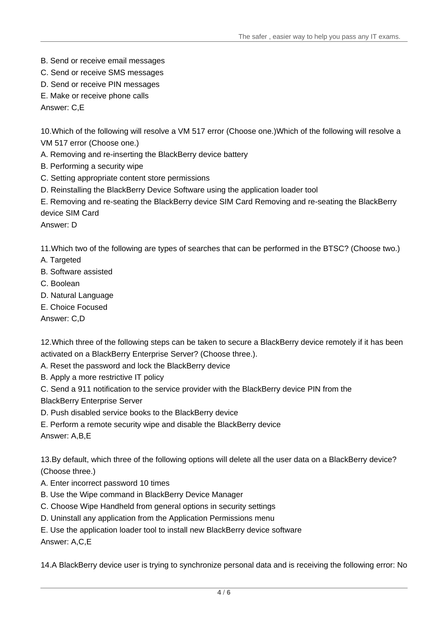- B. Send or receive email messages
- C. Send or receive SMS messages
- D. Send or receive PIN messages
- E. Make or receive phone calls

Answer: C,E

10.Which of the following will resolve a VM 517 error (Choose one.)Which of the following will resolve a VM 517 error (Choose one.)

- A. Removing and re-inserting the BlackBerry device battery
- B. Performing a security wipe
- C. Setting appropriate content store permissions
- D. Reinstalling the BlackBerry Device Software using the application loader tool

E. Removing and re-seating the BlackBerry device SIM Card Removing and re-seating the BlackBerry device SIM Card

Answer: D

11.Which two of the following are types of searches that can be performed in the BTSC? (Choose two.)

- A. Targeted
- B. Software assisted
- C. Boolean
- D. Natural Language
- E. Choice Focused

Answer: C,D

12.Which three of the following steps can be taken to secure a BlackBerry device remotely if it has been activated on a BlackBerry Enterprise Server? (Choose three.).

- A. Reset the password and lock the BlackBerry device
- B. Apply a more restrictive IT policy
- C. Send a 911 notification to the service provider with the BlackBerry device PIN from the

BlackBerry Enterprise Server

- D. Push disabled service books to the BlackBerry device
- E. Perform a remote security wipe and disable the BlackBerry device

Answer: A,B,E

13.By default, which three of the following options will delete all the user data on a BlackBerry device? (Choose three.)

- A. Enter incorrect password 10 times
- B. Use the Wipe command in BlackBerry Device Manager
- C. Choose Wipe Handheld from general options in security settings
- D. Uninstall any application from the Application Permissions menu
- E. Use the application loader tool to install new BlackBerry device software

Answer: A,C,E

14.A BlackBerry device user is trying to synchronize personal data and is receiving the following error: No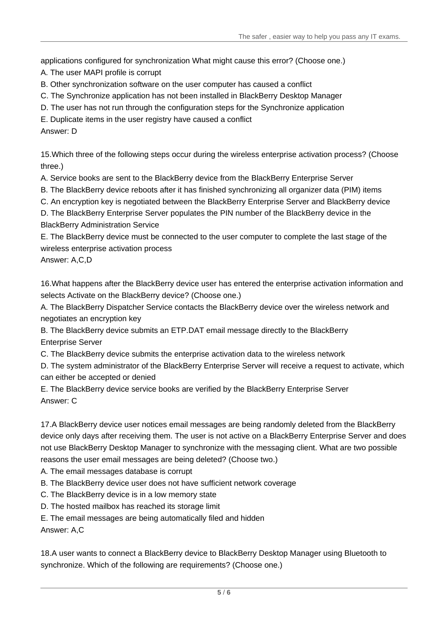applications configured for synchronization What might cause this error? (Choose one.)

A. The user MAPI profile is corrupt

- B. Other synchronization software on the user computer has caused a conflict
- C. The Synchronize application has not been installed in BlackBerry Desktop Manager
- D. The user has not run through the configuration steps for the Synchronize application

E. Duplicate items in the user registry have caused a conflict

Answer: D

15.Which three of the following steps occur during the wireless enterprise activation process? (Choose three.)

A. Service books are sent to the BlackBerry device from the BlackBerry Enterprise Server

B. The BlackBerry device reboots after it has finished synchronizing all organizer data (PIM) items

C. An encryption key is negotiated between the BlackBerry Enterprise Server and BlackBerry device

D. The BlackBerry Enterprise Server populates the PIN number of the BlackBerry device in the BlackBerry Administration Service

E. The BlackBerry device must be connected to the user computer to complete the last stage of the wireless enterprise activation process

Answer: A,C,D

16.What happens after the BlackBerry device user has entered the enterprise activation information and selects Activate on the BlackBerry device? (Choose one.)

A. The BlackBerry Dispatcher Service contacts the BlackBerry device over the wireless network and negotiates an encryption key

B. The BlackBerry device submits an ETP.DAT email message directly to the BlackBerry Enterprise Server

C. The BlackBerry device submits the enterprise activation data to the wireless network

D. The system administrator of the BlackBerry Enterprise Server will receive a request to activate, which can either be accepted or denied

E. The BlackBerry device service books are verified by the BlackBerry Enterprise Server Answer: C

17.A BlackBerry device user notices email messages are being randomly deleted from the BlackBerry device only days after receiving them. The user is not active on a BlackBerry Enterprise Server and does not use BlackBerry Desktop Manager to synchronize with the messaging client. What are two possible reasons the user email messages are being deleted? (Choose two.)

A. The email messages database is corrupt

- B. The BlackBerry device user does not have sufficient network coverage
- C. The BlackBerry device is in a low memory state
- D. The hosted mailbox has reached its storage limit

E. The email messages are being automatically filed and hidden

Answer: A,C

18.A user wants to connect a BlackBerry device to BlackBerry Desktop Manager using Bluetooth to synchronize. Which of the following are requirements? (Choose one.)